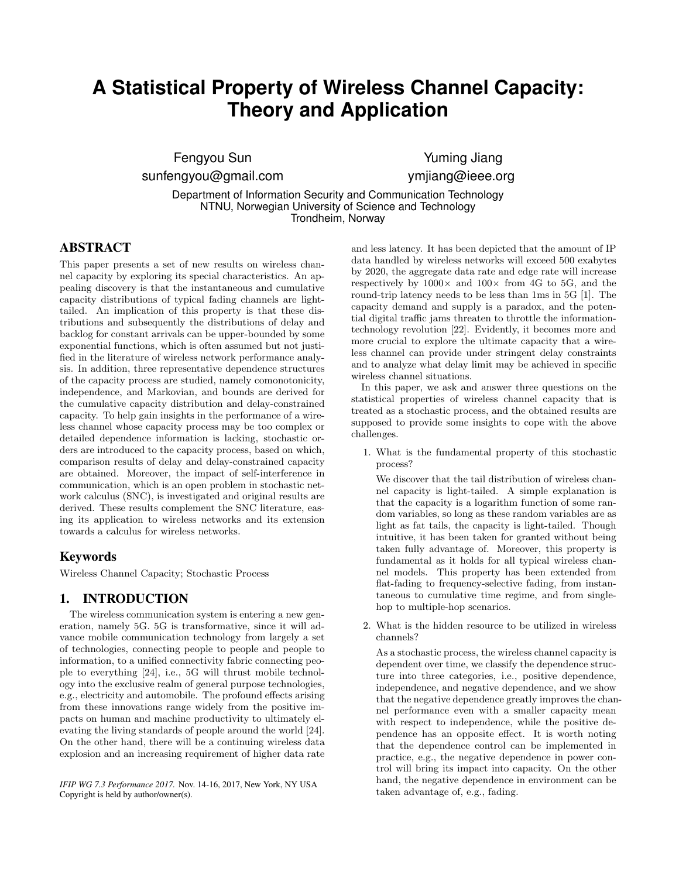# **A Statistical Property of Wireless Channel Capacity: Theory and Application**

Fengyou Sun sunfengyou@gmail.com

Yuming Jiang ymjiang@ieee.org

Department of Information Security and Communication Technology NTNU, Norwegian University of Science and Technology Trondheim, Norway

# ABSTRACT

This paper presents a set of new results on wireless channel capacity by exploring its special characteristics. An appealing discovery is that the instantaneous and cumulative capacity distributions of typical fading channels are lighttailed. An implication of this property is that these distributions and subsequently the distributions of delay and backlog for constant arrivals can be upper-bounded by some exponential functions, which is often assumed but not justified in the literature of wireless network performance analysis. In addition, three representative dependence structures of the capacity process are studied, namely comonotonicity, independence, and Markovian, and bounds are derived for the cumulative capacity distribution and delay-constrained capacity. To help gain insights in the performance of a wireless channel whose capacity process may be too complex or detailed dependence information is lacking, stochastic orders are introduced to the capacity process, based on which, comparison results of delay and delay-constrained capacity are obtained. Moreover, the impact of self-interference in communication, which is an open problem in stochastic network calculus (SNC), is investigated and original results are derived. These results complement the SNC literature, easing its application to wireless networks and its extension towards a calculus for wireless networks.

## Keywords

Wireless Channel Capacity; Stochastic Process

# 1. INTRODUCTION

The wireless communication system is entering a new generation, namely 5G. 5G is transformative, since it will advance mobile communication technology from largely a set of technologies, connecting people to people and people to information, to a unified connectivity fabric connecting people to everything [24], i.e., 5G will thrust mobile technology into the exclusive realm of general purpose technologies, e.g., electricity and automobile. The profound effects arising from these innovations range widely from the positive impacts on human and machine productivity to ultimately elevating the living standards of people around the world [24]. On the other hand, there will be a continuing wireless data explosion and an increasing requirement of higher data rate

*IFIP WG 7.3 Performance 2017.* Nov. 14-16, 2017, New York, NY USA Copyright is held by author/owner(s).

and less latency. It has been depicted that the amount of IP data handled by wireless networks will exceed 500 exabytes by 2020, the aggregate data rate and edge rate will increase respectively by  $1000\times$  and  $100\times$  from 4G to 5G, and the round-trip latency needs to be less than 1ms in 5G [1]. The capacity demand and supply is a paradox, and the potential digital traffic jams threaten to throttle the informationtechnology revolution [22]. Evidently, it becomes more and more crucial to explore the ultimate capacity that a wireless channel can provide under stringent delay constraints and to analyze what delay limit may be achieved in specific wireless channel situations.

In this paper, we ask and answer three questions on the statistical properties of wireless channel capacity that is treated as a stochastic process, and the obtained results are supposed to provide some insights to cope with the above challenges.

1. What is the fundamental property of this stochastic process?

We discover that the tail distribution of wireless channel capacity is light-tailed. A simple explanation is that the capacity is a logarithm function of some random variables, so long as these random variables are as light as fat tails, the capacity is light-tailed. Though intuitive, it has been taken for granted without being taken fully advantage of. Moreover, this property is fundamental as it holds for all typical wireless channel models. This property has been extended from flat-fading to frequency-selective fading, from instantaneous to cumulative time regime, and from singlehop to multiple-hop scenarios.

2. What is the hidden resource to be utilized in wireless channels?

As a stochastic process, the wireless channel capacity is dependent over time, we classify the dependence structure into three categories, i.e., positive dependence, independence, and negative dependence, and we show that the negative dependence greatly improves the channel performance even with a smaller capacity mean with respect to independence, while the positive dependence has an opposite effect. It is worth noting that the dependence control can be implemented in practice, e.g., the negative dependence in power control will bring its impact into capacity. On the other hand, the negative dependence in environment can be taken advantage of, e.g., fading.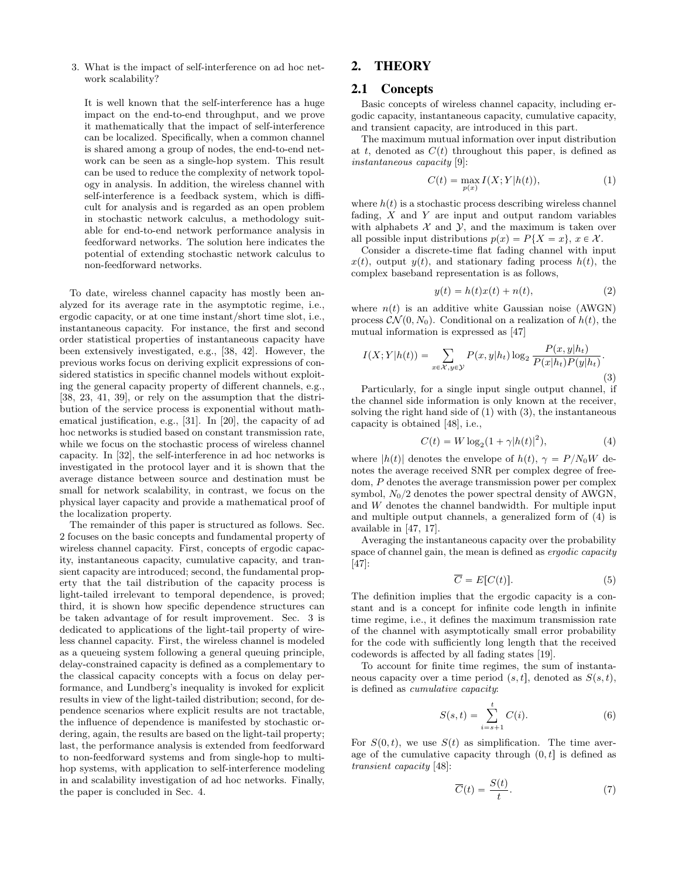3. What is the impact of self-interference on ad hoc network scalability?

It is well known that the self-interference has a huge impact on the end-to-end throughput, and we prove it mathematically that the impact of self-interference can be localized. Specifically, when a common channel is shared among a group of nodes, the end-to-end network can be seen as a single-hop system. This result can be used to reduce the complexity of network topology in analysis. In addition, the wireless channel with self-interference is a feedback system, which is difficult for analysis and is regarded as an open problem in stochastic network calculus, a methodology suitable for end-to-end network performance analysis in feedforward networks. The solution here indicates the potential of extending stochastic network calculus to non-feedforward networks.

To date, wireless channel capacity has mostly been analyzed for its average rate in the asymptotic regime, i.e., ergodic capacity, or at one time instant/short time slot, i.e., instantaneous capacity. For instance, the first and second order statistical properties of instantaneous capacity have been extensively investigated, e.g., [38, 42]. However, the previous works focus on deriving explicit expressions of considered statistics in specific channel models without exploiting the general capacity property of different channels, e.g., [38, 23, 41, 39], or rely on the assumption that the distribution of the service process is exponential without mathematical justification, e.g., [31]. In [20], the capacity of ad hoc networks is studied based on constant transmission rate, while we focus on the stochastic process of wireless channel capacity. In [32], the self-interference in ad hoc networks is investigated in the protocol layer and it is shown that the average distance between source and destination must be small for network scalability, in contrast, we focus on the physical layer capacity and provide a mathematical proof of the localization property.

The remainder of this paper is structured as follows. Sec. 2 focuses on the basic concepts and fundamental property of wireless channel capacity. First, concepts of ergodic capacity, instantaneous capacity, cumulative capacity, and transient capacity are introduced; second, the fundamental property that the tail distribution of the capacity process is light-tailed irrelevant to temporal dependence, is proved; third, it is shown how specific dependence structures can be taken advantage of for result improvement. Sec. 3 is dedicated to applications of the light-tail property of wireless channel capacity. First, the wireless channel is modeled as a queueing system following a general queuing principle, delay-constrained capacity is defined as a complementary to the classical capacity concepts with a focus on delay performance, and Lundberg's inequality is invoked for explicit results in view of the light-tailed distribution; second, for dependence scenarios where explicit results are not tractable, the influence of dependence is manifested by stochastic ordering, again, the results are based on the light-tail property; last, the performance analysis is extended from feedforward to non-feedforward systems and from single-hop to multihop systems, with application to self-interference modeling in and scalability investigation of ad hoc networks. Finally, the paper is concluded in Sec. 4.

# 2. THEORY

#### 2.1 Concepts

Basic concepts of wireless channel capacity, including ergodic capacity, instantaneous capacity, cumulative capacity, and transient capacity, are introduced in this part.

The maximum mutual information over input distribution at t, denoted as  $C(t)$  throughout this paper, is defined as instantaneous capacity [9]:

$$
C(t) = \max_{p(x)} I(X;Y|h(t)),\tag{1}
$$

where  $h(t)$  is a stochastic process describing wireless channel fading,  $X$  and  $Y$  are input and output random variables with alphabets  $X$  and  $Y$ , and the maximum is taken over all possible input distributions  $p(x) = P\{X = x\}, x \in \mathcal{X}$ .

Consider a discrete-time flat fading channel with input  $x(t)$ , output  $y(t)$ , and stationary fading process  $h(t)$ , the complex baseband representation is as follows,

$$
y(t) = h(t)x(t) + n(t),
$$
\n(2)

where  $n(t)$  is an additive white Gaussian noise (AWGN) process  $\mathcal{CN}(0, N_0)$ . Conditional on a realization of  $h(t)$ , the mutual information is expressed as [47]

$$
I(X;Y|h(t)) = \sum_{x \in \mathcal{X}, y \in \mathcal{Y}} P(x,y|h_t) \log_2 \frac{P(x,y|h_t)}{P(x|h_t)P(y|h_t)}.
$$
\n(3)

Particularly, for a single input single output channel, if the channel side information is only known at the receiver, solving the right hand side of  $(1)$  with  $(3)$ , the instantaneous capacity is obtained [48], i.e.,

$$
C(t) = W \log_2(1 + \gamma |h(t)|^2), \tag{4}
$$

where  $|h(t)|$  denotes the envelope of  $h(t)$ ,  $\gamma = P/N_0W$  denotes the average received SNR per complex degree of freedom, P denotes the average transmission power per complex symbol,  $N_0/2$  denotes the power spectral density of AWGN, and W denotes the channel bandwidth. For multiple input and multiple output channels, a generalized form of (4) is available in [47, 17].

Averaging the instantaneous capacity over the probability space of channel gain, the mean is defined as *ergodic capacity* [47]:

$$
\overline{C} = E[C(t)].\tag{5}
$$

The definition implies that the ergodic capacity is a constant and is a concept for infinite code length in infinite time regime, i.e., it defines the maximum transmission rate of the channel with asymptotically small error probability for the code with sufficiently long length that the received codewords is affected by all fading states [19].

To account for finite time regimes, the sum of instantaneous capacity over a time period  $(s, t]$ , denoted as  $S(s, t)$ , is defined as cumulative capacity:

$$
S(s,t) = \sum_{i=s+1}^{t} C(i).
$$
 (6)

For  $S(0, t)$ , we use  $S(t)$  as simplification. The time average of the cumulative capacity through  $(0, t]$  is defined as transient capacity [48]:

$$
\overline{C}(t) = \frac{S(t)}{t}.\tag{7}
$$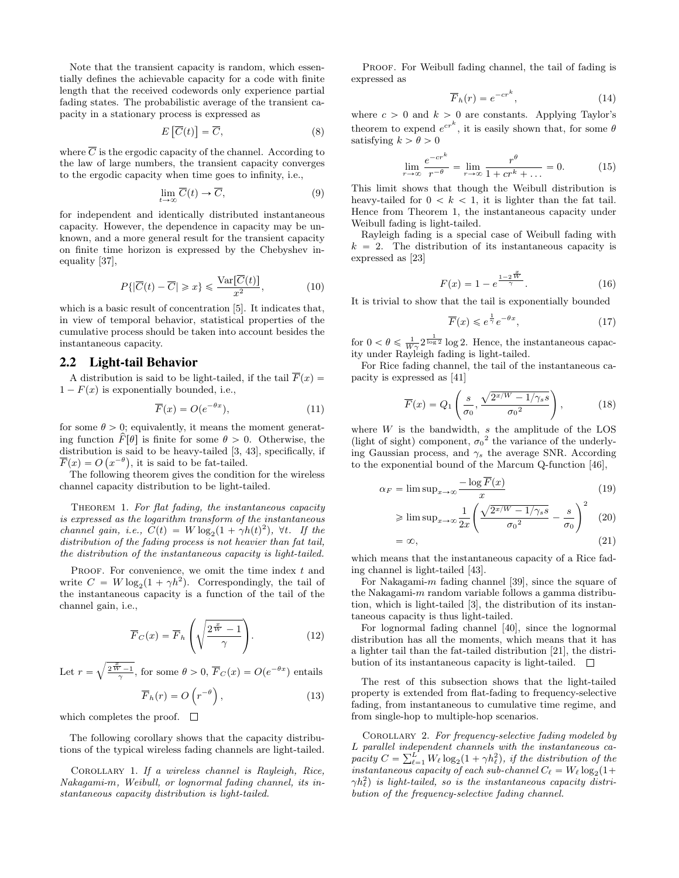Note that the transient capacity is random, which essentially defines the achievable capacity for a code with finite length that the received codewords only experience partial fading states. The probabilistic average of the transient capacity in a stationary process is expressed as " ‰

$$
E\left[\overline{C}(t)\right] = \overline{C},\tag{8}
$$

where  $\overline{C}$  is the ergodic capacity of the channel. According to the law of large numbers, the transient capacity converges to the ergodic capacity when time goes to infinity, i.e.,

$$
\lim_{t \to \infty} \overline{C}(t) \to \overline{C},\tag{9}
$$

for independent and identically distributed instantaneous capacity. However, the dependence in capacity may be unknown, and a more general result for the transient capacity on finite time horizon is expressed by the Chebyshev inequality [37],

$$
P\{|\overline{C}(t) - \overline{C}| \geq x\} \leq \frac{\text{Var}[\overline{C}(t)]}{x^2},\tag{10}
$$

which is a basic result of concentration [5]. It indicates that, in view of temporal behavior, statistical properties of the cumulative process should be taken into account besides the instantaneous capacity.

#### 2.2 Light-tail Behavior

A distribution is said to be light-tailed, if the tail  $\overline{F}(x) =$  $1 - F(x)$  is exponentially bounded, i.e.,

$$
\overline{F}(x) = O(e^{-\theta x}),\tag{11}
$$

for some  $\theta > 0$ ; equivalently, it means the moment generating function  $\hat{F}[\theta]$  is finite for some  $\theta > 0$ . Otherwise, the distribution is said to be heavy-tailed [3, 43], specifically, if  $\overline{F}(x) = O(x^{-\theta}),$  it is said to be fat-tailed.

The following theorem gives the condition for the wireless channel capacity distribution to be light-tailed.

THEOREM 1. For flat fading, the instantaneous capacity is expressed as the logarithm transform of the instantaneous channel gain, i.e.,  $C(t) = W \log_2(1 + \gamma h(t)^2)$ ,  $\forall t$ . If the distribution of the fading process is not heavier than fat tail, the distribution of the instantaneous capacity is light-tailed.

PROOF. For convenience, we omit the time index  $t$  and write  $C = W \log_2(1 + \gamma h^2)$ . Correspondingly, the tail of the instantaneous capacity is a function of the tail of the channel gain, i.e.,

$$
\overline{F}_C(x) = \overline{F}_h \left( \sqrt{\frac{2^{\frac{x}{W}} - 1}{\gamma}} \right).
$$
 (12)

Let  $r =$  $\frac{2^{\frac{x}{W}-1}}{\gamma}$ , for some  $\theta > 0$ ,  $\overline{F}_C(x) = O(e^{-\theta x})$  entails

$$
\overline{F}_h(r) = O\left(r^{-\theta}\right),\tag{13}
$$

which completes the proof.  $\square$ 

The following corollary shows that the capacity distributions of the typical wireless fading channels are light-tailed.

Corollary 1. If a wireless channel is Rayleigh, Rice, Nakagami-m, Weibull, or lognormal fading channel, its instantaneous capacity distribution is light-tailed.

PROOF. For Weibull fading channel, the tail of fading is expressed as

$$
\overline{F}_h(r) = e^{-cr^k},\tag{14}
$$

where  $c > 0$  and  $k > 0$  are constants. Applying Taylor's theorem to expend  $e^{cr^k}$ , it is easily shown that, for some  $\theta$ satisfying  $k > \theta > 0$ 

$$
\lim_{r \to \infty} \frac{e^{-cr^k}}{r^{-\theta}} = \lim_{r \to \infty} \frac{r^{\theta}}{1 + cr^k + \dots} = 0.
$$
 (15)

This limit shows that though the Weibull distribution is heavy-tailed for  $0 < k < 1$ , it is lighter than the fat tail. Hence from Theorem 1, the instantaneous capacity under Weibull fading is light-tailed.

Rayleigh fading is a special case of Weibull fading with  $k = 2$ . The distribution of its instantaneous capacity is expressed as [23]

$$
F(x) = 1 - e^{\frac{1 - 2\overline{W}}{\gamma}}.
$$
 (16)

It is trivial to show that the tail is exponentially bounded

$$
\overline{F}(x) \leqslant e^{\frac{1}{\gamma}} e^{-\theta x},\tag{17}
$$

for  $0 < \theta \leq \frac{1}{W\gamma} 2^{\frac{1}{\log 2}} \log 2$ . Hence, the instantaneous capacity under Rayleigh fading is light-tailed.

For Rice fading channel, the tail of the instantaneous capacity is expressed as [41]

$$
\overline{F}(x) = Q_1\left(\frac{s}{\sigma_0}, \frac{\sqrt{2^{x/W} - 1/\gamma_s s}}{\sigma_0^2}\right),\tag{18}
$$

where  $W$  is the bandwidth,  $s$  the amplitude of the LOS (light of sight) component,  $\sigma_0^2$  the variance of the underlying Gaussian process, and  $\gamma_s$  the average SNR. According to the exponential bound of the Marcum Q-function [46],

$$
\alpha_F = \limsup_{x \to \infty} \frac{-\log \overline{F}(x)}{x}
$$
(19)

$$
\geqslant \limsup_{x \to \infty} \frac{1}{2x} \left( \frac{\sqrt{2^{x/W} - 1/\gamma_s s}}{\sigma_0^2} - \frac{s}{\sigma_0} \right)^2 \tag{20}
$$

$$
=\infty,\tag{21}
$$

which means that the instantaneous capacity of a Rice fading channel is light-tailed [43].

For Nakagami-m fading channel [39], since the square of the Nakagami-m random variable follows a gamma distribution, which is light-tailed [3], the distribution of its instantaneous capacity is thus light-tailed.

For lognormal fading channel [40], since the lognormal distribution has all the moments, which means that it has a lighter tail than the fat-tailed distribution [21], the distribution of its instantaneous capacity is light-tailed.  $\Box$ 

The rest of this subsection shows that the light-tailed property is extended from flat-fading to frequency-selective fading, from instantaneous to cumulative time regime, and from single-hop to multiple-hop scenarios.

COROLLARY 2. For frequency-selective fading modeled by L parallel independent channels with the instantaneous carrier  $C = \sum_{k=1}^{L} W_k \log(1 + \epsilon k^2)$  if the distribution of the pacity  $C = \sum_{\ell=1}^{L} W_{\ell} \log_2(1 + \gamma h_{\ell}^2)$ , if the distribution of the instantaneous capacity of each sub-channel  $C_{\ell} = W_{\ell} \log_2(1 +$  $\gamma h_\ell^2$ ) is light-tailed, so is the instantaneous capacity distribution of the frequency-selective fading channel.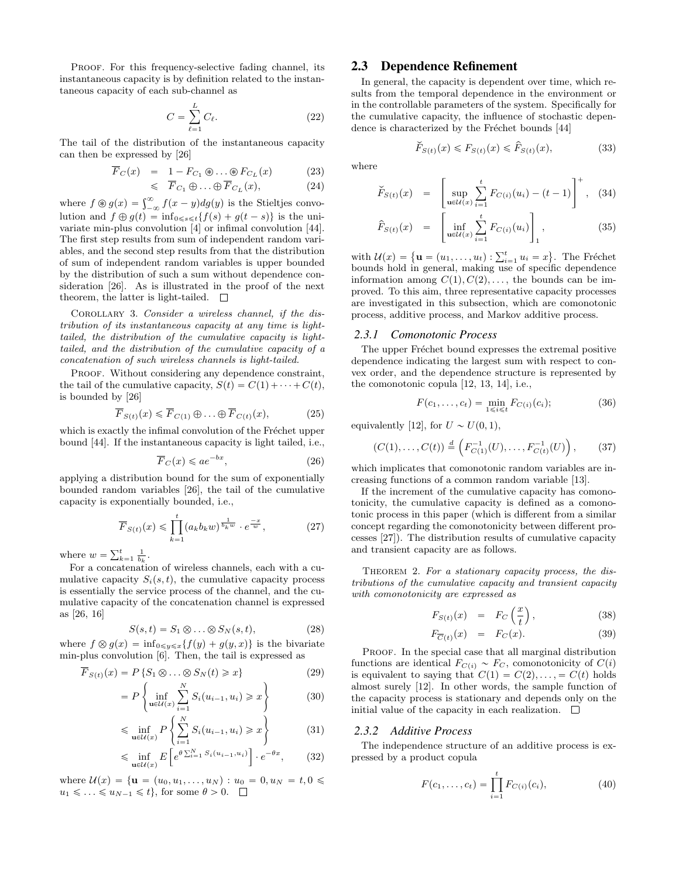PROOF. For this frequency-selective fading channel, its instantaneous capacity is by definition related to the instantaneous capacity of each sub-channel as

$$
C = \sum_{\ell=1}^{L} C_{\ell}.
$$
 (22)

The tail of the distribution of the instantaneous capacity can then be expressed by [26]

$$
F_C(x) = 1 - F_{C_1} \circledast \dots \circledast F_{C_L}(x)
$$
(23)  

$$
\leqslant \overline{F}_{C_1} \circledast \dots \circledast \overline{F}_{C_L}(x),
$$
(24)

where  $f \circledast g(x) = \int_{-\infty}^{\infty} f(x-y) dg(y)$  is the Stieltjes convolution and  $f \oplus g(t) = \inf_{0 \leq s \leq t} {f(s) + g(t - s)}$  is the univariate min-plus convolution [4] or infimal convolution [44]. The first step results from sum of independent random variables, and the second step results from that the distribution of sum of independent random variables is upper bounded by the distribution of such a sum without dependence consideration [26]. As is illustrated in the proof of the next theorem, the latter is light-tailed.  $\square$ 

Corollary 3. Consider a wireless channel, if the distribution of its instantaneous capacity at any time is lighttailed, the distribution of the cumulative capacity is lighttailed, and the distribution of the cumulative capacity of a concatenation of such wireless channels is light-tailed.

PROOF. Without considering any dependence constraint, the tail of the cumulative capacity,  $S(t) = C(1) + \cdots + C(t)$ , is bounded by [26]

$$
\overline{F}_{S(t)}(x) \leqslant \overline{F}_{C(1)} \oplus \ldots \oplus \overline{F}_{C(t)}(x),\tag{25}
$$

which is exactly the infimal convolution of the Fréchet upper bound [44]. If the instantaneous capacity is light tailed, i.e.,

$$
\overline{F}_C(x) \leqslant a e^{-bx},\tag{26}
$$

applying a distribution bound for the sum of exponentially bounded random variables [26], the tail of the cumulative capacity is exponentially bounded, i.e.,

$$
\overline{F}_{S(t)}(x) \leq \prod_{k=1}^{t} (a_k b_k w)^{\frac{1}{b_k w}} \cdot e^{\frac{-x}{w}},\tag{27}
$$

where  $w = \sum_{k=1}^{t} \frac{1}{b_k}$ .

For a concatenation of wireless channels, each with a cumulative capacity  $S_i(s, t)$ , the cumulative capacity process is essentially the service process of the channel, and the cumulative capacity of the concatenation channel is expressed as [26, 16]

$$
S(s,t) = S_1 \otimes \ldots \otimes S_N(s,t), \qquad (28)
$$

where  $f \otimes g(x) = \inf_{0 \leq y \leq x} \{f(y) + g(y, x)\}\$ is the bivariate min-plus convolution [6]. Then, the tail is expressed as

$$
\overline{F}_{S(t)}(x) = P\left\{S_1 \otimes \ldots \otimes S_N(t) \ge x\right\}
$$
\n<sup>(29)</sup>

$$
= P\left\{\inf_{\mathbf{u}\in\mathcal{U}(x)}\sum_{i=1}^{n} S_i(u_{i-1}, u_i) \geqslant x\right\} \tag{30}
$$

$$
\leqslant \inf_{\mathbf{u}\in\mathcal{U}(x)} P\left\{\sum_{i=1}^{N} S_i(u_{i-1}, u_i) \geqslant x\right\} \tag{31}
$$

$$
\leqslant \inf_{\mathbf{u}\in\mathcal{U}(x)} E\left[e^{\theta \sum_{i=1}^{N} S_i(u_{i-1}, u_i)}\right] \cdot e^{-\theta x},\tag{32}
$$

where  $\mathcal{U}(x) = \{ \mathbf{u} = (u_0, u_1, \dots, u_N) : u_0 = 0, u_N = t, 0 \leq$  $u_1 \leq \ldots \leq u_{N-1} \leq t\},$  for some  $\theta > 0$ .  $\Box$ 

# 2.3 Dependence Refinement

In general, the capacity is dependent over time, which results from the temporal dependence in the environment or in the controllable parameters of the system. Specifically for the cumulative capacity, the influence of stochastic dependence is characterized by the Fréchet bounds [44]

$$
\check{F}_{S(t)}(x) \le F_{S(t)}(x) \le \hat{F}_{S(t)}(x),\tag{33}
$$

where

$$
\widetilde{F}_{S(t)}(x) = \left[ \sup_{\mathbf{u}\in\mathcal{U}(x)} \sum_{i=1}^{t} F_{C(i)}(u_i) - (t-1) \right]^+, \quad (34)
$$

$$
\hat{F}_{S(t)}(x) = \left[\inf_{\mathbf{u}\in\mathcal{U}(x)}\sum_{i=1}^{t} F_{C(i)}(u_i)\right]_1, \tag{35}
$$

with  $\mathcal{U}(x) = \{ \mathbf{u} = (u_1, \dots, u_t) : \sum_{i=1}^t u_i = x \}$ . The Fréchet bounds hold in general, making use of specific dependence information among  $C(1), C(2), \ldots$ , the bounds can be improved. To this aim, three representative capacity processes are investigated in this subsection, which are comonotonic process, additive process, and Markov additive process.

#### *2.3.1 Comonotonic Process*

The upper Fréchet bound expresses the extremal positive dependence indicating the largest sum with respect to convex order, and the dependence structure is represented by the comonotonic copula [12, 13, 14], i.e.,

$$
F(c_1, ..., c_t) = \min_{1 \le i \le t} F_{C(i)}(c_i); \tag{36}
$$

equivalently [12], for  $U \sim U(0, 1)$ ,

$$
(C(1),...,C(t)) \stackrel{d}{=} \left(F_{C(1)}^{-1}(U),...,F_{C(t)}^{-1}(U)\right), \quad (37)
$$

which implicates that comonotonic random variables are increasing functions of a common random variable [13].

If the increment of the cumulative capacity has comonotonicity, the cumulative capacity is defined as a comonotonic process in this paper (which is different from a similar concept regarding the comonotonicity between different processes [27]). The distribution results of cumulative capacity and transient capacity are as follows.

THEOREM 2. For a stationary capacity process, the distributions of the cumulative capacity and transient capacity with comonotonicity are expressed as

$$
F_{S(t)}(x) = F_C\left(\frac{x}{t}\right), \tag{38}
$$

$$
F_{\overline{C}(t)}(x) = F_C(x). \tag{39}
$$

PROOF. In the special case that all marginal distribution functions are identical  $F_{C(i)} \sim F_C$ , comonotonicity of  $C(i)$ is equivalent to saying that  $C(1) = C(2), \ldots, = C(t)$  holds almost surely [12]. In other words, the sample function of the capacity process is stationary and depends only on the initial value of the capacity in each realization.  $\Box$ 

#### *2.3.2 Additive Process*

The independence structure of an additive process is expressed by a product copula

$$
F(c_1, ..., c_t) = \prod_{i=1}^t F_{C(i)}(c_i), \qquad (40)
$$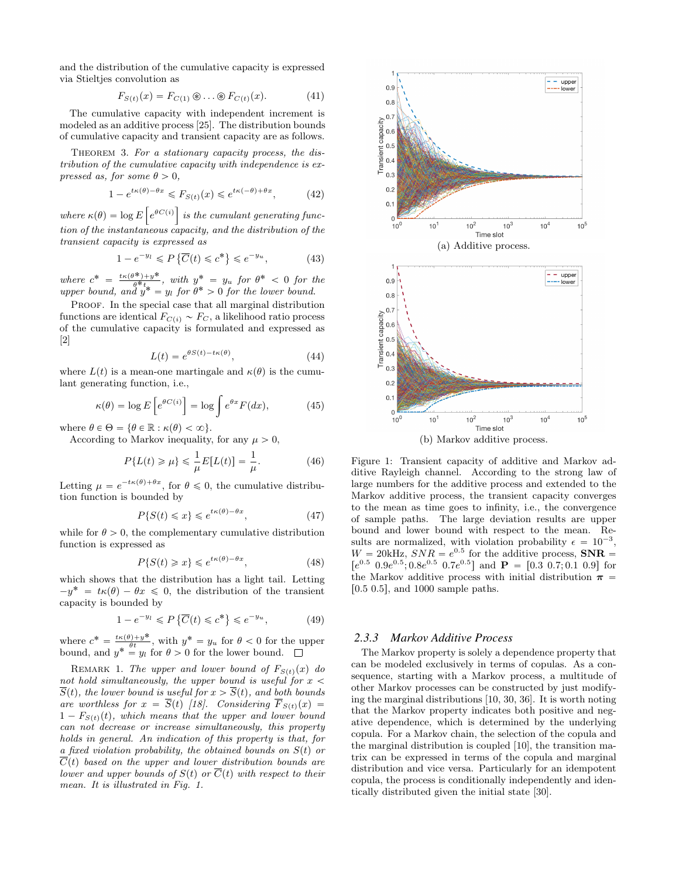and the distribution of the cumulative capacity is expressed via Stieltjes convolution as

$$
F_{S(t)}(x) = F_{C(1)} \circledast \dots \circledast F_{C(t)}(x). \tag{41}
$$

The cumulative capacity with independent increment is modeled as an additive process [25]. The distribution bounds of cumulative capacity and transient capacity are as follows.

THEOREM 3. For a stationary capacity process, the distribution of the cumulative capacity with independence is expressed as, for some  $\theta > 0$ ,

$$
1 - e^{t\kappa(\theta) - \theta x} \le F_{S(t)}(x) \le e^{t\kappa(-\theta) + \theta x}, \tag{42}
$$

where  $\kappa(\theta) = \log E \left[ e^{\theta C(i)} \right]$  is the cumulant generating function of the instantaneous capacity, and the distribution of the transient capacity is expressed as

$$
1 - e^{-y_l} \le P\left\{\overline{C}(t) \le c^*\right\} \le e^{-y_u},\tag{43}
$$

where  $c^* = \frac{t\kappa(\theta^*) + y^*}{\theta^* t}$  $\frac{\partial^* y + y^*}{\partial^* t}$ , with  $y^* = y_u$  for  $\theta^* < 0$  for the upper bound, and  $y^* = y_l$  for  $\theta^* > 0$  for the lower bound.

PROOF. In the special case that all marginal distribution functions are identical  $F_{C(i)} \sim F_C$ , a likelihood ratio process of the cumulative capacity is formulated and expressed as [2]

$$
L(t) = e^{\theta S(t) - t\kappa(\theta)},\tag{44}
$$

where  $L(t)$  is a mean-one martingale and  $\kappa(\theta)$  is the cumulant generating function, i.e.,

$$
\kappa(\theta) = \log E\left[e^{\theta C(i)}\right] = \log \int e^{\theta x} F(dx),\tag{45}
$$

where  $\theta \in \Theta = \{\theta \in \mathbb{R} : \kappa(\theta) < \infty\}.$ 

According to Markov inequality, for any  $\mu > 0$ ,

$$
P\{L(t) \ge \mu\} \le \frac{1}{\mu}E[L(t)] = \frac{1}{\mu}.
$$
 (46)

Letting  $\mu = e^{-t\kappa(\theta)+\theta x}$ , for  $\theta \leq 0$ , the cumulative distribution function is bounded by

$$
P\{S(t) \leq x\} \leq e^{t\kappa(\theta) - \theta x},\tag{47}
$$

while for  $\theta > 0$ , the complementary cumulative distribution function is expressed as

$$
P\{S(t) \ge x\} \le e^{t\kappa(\theta) - \theta x},\tag{48}
$$

which shows that the distribution has a light tail. Letting  $-y^* = t\kappa(\theta) - \theta x \leq 0$ , the distribution of the transient capacity is bounded by

$$
1 - e^{-y_l} \le P\left\{\overline{C}(t) \le c^*\right\} \le e^{-y_u},\tag{49}
$$

where  $c^* = \frac{t\kappa(\theta)+y^*}{\theta t}$ , with  $y^* = y_u$  for  $\theta < 0$  for the upper bound, and  $y^* = y_l$  for  $\theta > 0$  for the lower bound.

REMARK 1. The upper and lower bound of  $F_{S(t)}(x)$  do not hold simultaneously, the upper bound is useful for  $x <$  $\overline{S}(t)$ , the lower bound is useful for  $x > \overline{S}(t)$ , and both bounds are worthless for  $x = \overline{S}(t)$  [18]. Considering  $\overline{F}_{S(t)}(x) =$  $1 - F_{S(t)}(t)$ , which means that the upper and lower bound can not decrease or increase simultaneously, this property holds in general. An indication of this property is that, for a fixed violation probability, the obtained bounds on  $S(t)$  or  $\overline{C}(t)$  based on the upper and lower distribution bounds are lower and upper bounds of  $S(t)$  or  $\overline{C}(t)$  with respect to their mean. It is illustrated in Fig. 1.



Figure 1: Transient capacity of additive and Markov additive Rayleigh channel. According to the strong law of large numbers for the additive process and extended to the Markov additive process, the transient capacity converges to the mean as time goes to infinity, i.e., the convergence of sample paths. The large deviation results are upper bound and lower bound with respect to the mean. Results are normalized, with violation probability  $\epsilon = 10^{-3}$ ,  $W = 20kHz$ ,  $SNR = e^{0.5}$  for the additive process,  $SNR =$  $[e^{0.5} \ 0.9e^{0.5}; 0.8e^{0.5} \ 0.7e^{0.5}]$  and  $\mathbf{P} = [0.3 \ 0.7; 0.1 \ 0.9]$  for the Markov additive process with initial distribution  $\pi$  =  $[0.5, 0.5]$ , and 1000 sample paths.

#### *2.3.3 Markov Additive Process*

The Markov property is solely a dependence property that can be modeled exclusively in terms of copulas. As a consequence, starting with a Markov process, a multitude of other Markov processes can be constructed by just modifying the marginal distributions [10, 30, 36]. It is worth noting that the Markov property indicates both positive and negative dependence, which is determined by the underlying copula. For a Markov chain, the selection of the copula and the marginal distribution is coupled [10], the transition matrix can be expressed in terms of the copula and marginal distribution and vice versa. Particularly for an idempotent copula, the process is conditionally independently and identically distributed given the initial state [30].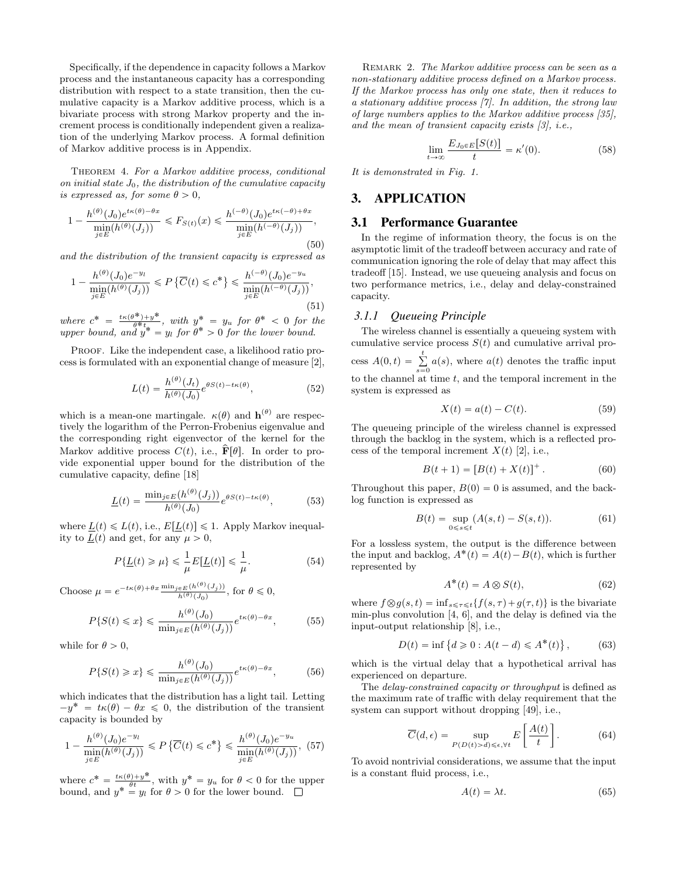Specifically, if the dependence in capacity follows a Markov process and the instantaneous capacity has a corresponding distribution with respect to a state transition, then the cumulative capacity is a Markov additive process, which is a bivariate process with strong Markov property and the increment process is conditionally independent given a realization of the underlying Markov process. A formal definition of Markov additive process is in Appendix.

Theorem 4. For a Markov additive process, conditional on initial state  $J_0$ , the distribution of the cumulative capacity is expressed as, for some  $\theta > 0$ ,

$$
1 - \frac{h^{(\theta)}(J_0)e^{t\kappa(\theta)-\theta x}}{\min\limits_{j\in E}(h^{(\theta)}(J_j))} \le F_{S(t)}(x) \le \frac{h^{(-\theta)}(J_0)e^{t\kappa(-\theta)+\theta x}}{\min\limits_{j\in E}(h^{(-\theta)}(J_j))},\tag{50}
$$

and the distribution of the transient capacity is expressed as

$$
1 - \frac{h^{(\theta)}(J_0)e^{-y_l}}{\min\limits_{j \in E} (h^{(\theta)}(J_j))} \le P\left\{\overline{C}(t) \le c^*\right\} \le \frac{h^{(-\theta)}(J_0)e^{-y_u}}{\min\limits_{j \in E} (h^{(-\theta)}(J_j))},\tag{51}
$$

where  $c^* = \frac{t\kappa(\theta^*) + y^*}{\theta^* t}$  $\frac{\partial^* y + y^*}{\partial^* t}$ , with  $y^* = y_u$  for  $\theta^* < 0$  for the upper bound, and  $y^* = y_l$  for  $\theta^* > 0$  for the lower bound.

PROOF. Like the independent case, a likelihood ratio process is formulated with an exponential change of measure [2],

$$
L(t) = \frac{h^{(\theta)}(J_t)}{h^{(\theta)}(J_0)} e^{\theta S(t) - t\kappa(\theta)},
$$
\n(52)

which is a mean-one martingale.  $\kappa(\theta)$  and  $\mathbf{h}^{(\theta)}$  are respectively the logarithm of the Perron-Frobenius eigenvalue and the corresponding right eigenvector of the kernel for the Markov additive process  $C(t)$ , i.e.,  $\mathbf{\hat{F}}[\theta]$ . In order to provide exponential upper bound for the distribution of the cumulative capacity, define [18]

$$
\underline{L}(t) = \frac{\min_{j \in E} (h^{(\theta)}(J_j))}{h^{(\theta)}(J_0)} e^{\theta S(t) - t\kappa(\theta)},
$$
(53)

where  $L(t) \leq L(t)$ , i.e.,  $E[L(t)] \leq 1$ . Apply Markov inequality to  $\underline{L}(t)$  and get, for any  $\mu > 0$ ,

$$
P\{\underline{L}(t) \ge \mu\} \le \frac{1}{\mu}E[\underline{L}(t)] \le \frac{1}{\mu}.\tag{54}
$$

Choose  $\mu = e^{-t\kappa(\theta) + \theta x} \frac{\min_{j \in E} (h^{(\theta)}(J_j))}{h^{(\theta)}(J_0)},$  for  $\theta \leq 0$ ,

$$
P\{S(t) \le x\} \le \frac{h^{(\theta)}(J_0)}{\min_{j \in E} (h^{(\theta)}(J_j))} e^{t\kappa(\theta) - \theta x},\tag{55}
$$

while for  $\theta > 0$ ,

$$
P\{S(t) \ge x\} \le \frac{h^{(\theta)}(J_0)}{\min_{j \in E} (h^{(\theta)}(J_j))} e^{t\kappa(\theta) - \theta x},\tag{56}
$$

which indicates that the distribution has a light tail. Letting  $-y^* = t\kappa(\theta) - \theta x \leq 0$ , the distribution of the transient capacity is bounded by

$$
1 - \frac{h^{(\theta)}(J_0)e^{-y_l}}{\min_{j \in E} (h^{(\theta)}(J_j))} \le P\left\{\overline{C}(t) \le c^*\right\} \le \frac{h^{(\theta)}(J_0)e^{-y_u}}{\min_{j \in E} (h^{(\theta)}(J_j))}, (57)
$$

where  $c^* = \frac{t\kappa(\theta)+y^*}{\theta t}$ , with  $y^* = y_u$  for  $\theta < 0$  for the upper bound, and  $y^* = y_l$  for  $\theta > 0$  for the lower bound.

REMARK 2. The Markov additive process can be seen as a non-stationary additive process defined on a Markov process. If the Markov process has only one state, then it reduces to a stationary additive process [7]. In addition, the strong law of large numbers applies to the Markov additive process [35], and the mean of transient capacity exists [3], i.e.,

$$
\lim_{t \to \infty} \frac{E_{J_0 \in E}[S(t)]}{t} = \kappa'(0). \tag{58}
$$

It is demonstrated in Fig. 1.

# 3. APPLICATION

## 3.1 Performance Guarantee

In the regime of information theory, the focus is on the asymptotic limit of the tradeoff between accuracy and rate of communication ignoring the role of delay that may affect this tradeoff [15]. Instead, we use queueing analysis and focus on two performance metrics, i.e., delay and delay-constrained capacity.

#### *3.1.1 Queueing Principle*

The wireless channel is essentially a queueing system with cumulative service process  $S(t)$  and cumulative arrival process  $A(0,t) = \sum_{s=0}^{t} a(s)$ , where  $a(t)$  denotes the traffic input to the channel at time  $t$ , and the temporal increment in the system is expressed as

$$
X(t) = a(t) - C(t).
$$
 (59)

The queueing principle of the wireless channel is expressed through the backlog in the system, which is a reflected process of the temporal increment  $X(t)$  [2], i.e.,

$$
B(t+1) = [B(t) + X(t)]^{+}.
$$
 (60)

Throughout this paper,  $B(0) = 0$  is assumed, and the backlog function is expressed as

$$
B(t) = \sup_{0 \le s \le t} (A(s, t) - S(s, t)).
$$
 (61)

For a lossless system, the output is the difference between the input and backlog,  $A^*(t) = A(t) - B(t)$ , which is further represented by

$$
A^*(t) = A \otimes S(t),\tag{62}
$$

where  $f \otimes g(s, t) = \inf_{s \leq \tau \leq t} \{f(s, \tau) + g(\tau, t)\}\$ is the bivariate min-plus convolution [4, 6], and the delay is defined via the input-output relationship [8], i.e.,

$$
D(t) = \inf \{ d \ge 0 : A(t - d) \le A^*(t) \},
$$
 (63)

which is the virtual delay that a hypothetical arrival has experienced on departure.

The *delay-constrained capacity or throughput* is defined as the maximum rate of traffic with delay requirement that the system can support without dropping [49], i.e., " 

$$
\overline{C}(d,\epsilon) = \sup_{P(D(t) > d) \le \epsilon, \forall t} E\left[\frac{A(t)}{t}\right].
$$
 (64)

To avoid nontrivial considerations, we assume that the input is a constant fluid process, i.e.,

$$
A(t) = \lambda t. \tag{65}
$$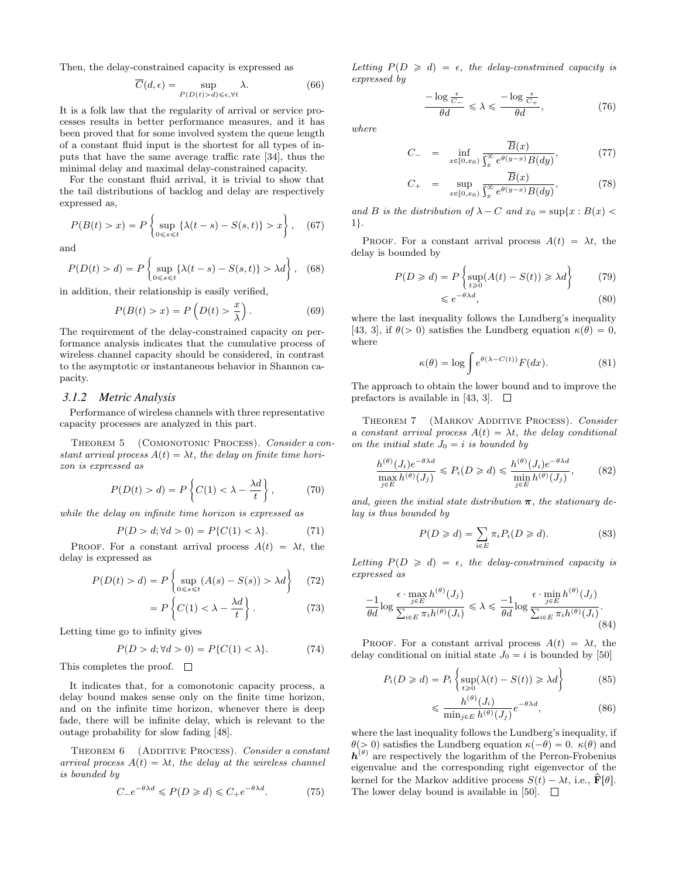Then, the delay-constrained capacity is expressed as

$$
\overline{C}(d,\epsilon) = \sup_{P(D(t)>d)\leq \epsilon, \forall t} \lambda.
$$
\n(66)

It is a folk law that the regularity of arrival or service processes results in better performance measures, and it has been proved that for some involved system the queue length of a constant fluid input is the shortest for all types of inputs that have the same average traffic rate [34], thus the minimal delay and maximal delay-constrained capacity.

For the constant fluid arrival, it is trivial to show that the tail distributions of backlog and delay are respectively expressed as,

$$
P(B(t) > x) = P\left\{\sup_{0 \le s \le t} \{\lambda(t - s) - S(s, t)\} > x\right\},\quad(67)
$$

and

$$
P(D(t) > d) = P\left\{\sup_{0 \le s \le t} \left\{\lambda(t - s) - S(s, t)\right\} > \lambda d\right\}, \quad (68)
$$

in addition, their relationship is easily verified,

$$
P(B(t) > x) = P\left(D(t) > \frac{x}{\lambda}\right). \tag{69}
$$

The requirement of the delay-constrained capacity on performance analysis indicates that the cumulative process of wireless channel capacity should be considered, in contrast to the asymptotic or instantaneous behavior in Shannon capacity.

#### *3.1.2 Metric Analysis*

Performance of wireless channels with three representative capacity processes are analyzed in this part.

THEOREM 5 (COMONOTONIC PROCESS). Consider a constant arrival process  $A(t) = \lambda t$ , the delay on finite time horizon is expressed as

$$
P(D(t) > d) = P\left\{C(1) < \lambda - \frac{\lambda d}{t}\right\},\tag{70}
$$

while the delay on infinite time horizon is expressed as

$$
P(D > d; \forall d > 0) = P\{C(1) < \lambda\}.\tag{71}
$$

PROOF. For a constant arrival process  $A(t) = \lambda t$ , the delay is expressed as "

$$
P(D(t) > d) = P\left\{\sup_{0 \le s \le t} (A(s) - S(s)) > \lambda d\right\} \tag{72}
$$

$$
= P\left\{C(1) < \lambda - \frac{\lambda d}{t}\right\}.\tag{73}
$$

Letting time go to infinity gives

$$
P(D > d; \forall d > 0) = P\{C(1) < \lambda\}.\tag{74}
$$

This completes the proof.  $\square$ 

It indicates that, for a comonotonic capacity process, a delay bound makes sense only on the finite time horizon, and on the infinite time horizon, whenever there is deep fade, there will be infinite delay, which is relevant to the outage probability for slow fading [48].

THEOREM 6 (ADDITIVE PROCESS). Consider a constant arrival process  $A(t) = \lambda t$ , the delay at the wireless channel is bounded by

$$
C_{-}e^{-\theta\lambda d} \leqslant P(D \geqslant d) \leqslant C_{+}e^{-\theta\lambda d}.\tag{75}
$$

Letting  $P(D \ge d) = \epsilon$ , the delay-constrained capacity is expressed by

 $\frac{-\log\frac{\epsilon}{C_-}}{\theta d} \leq \lambda \leq$ 

where

$$
C_{-} = \inf_{x \in [0, x_0)} \frac{\overline{B}(x)}{\int_x^{\infty} e^{\theta(y-x)} B(dy)},
$$
(77)

 $\frac{-\log \frac{\epsilon}{C_+}}{\theta d}$ , (76)

$$
C_{+} = \sup_{x \in [0,x_{0})} \frac{\overline{B}(x)}{\int_{x}^{\infty} e^{\theta(y-x)} B(dy)},
$$
\n(78)

and B is the distribution of  $\lambda - C$  and  $x_0 = \sup\{x : B(x)$  $1$ .

PROOF. For a constant arrival process  $A(t) = \lambda t$ , the delay is bounded by "

$$
P(D \ge d) = P\left\{\sup_{t \ge 0} (A(t) - S(t)) \ge \lambda d\right\} \tag{79}
$$

$$
\leqslant e^{-\theta \lambda d},\tag{80}
$$

where the last inequality follows the Lundberg's inequality [43, 3], if  $\theta$ (> 0) satisfies the Lundberg equation  $\kappa(\theta) = 0$ , where

$$
\kappa(\theta) = \log \int e^{\theta(\lambda - C(t))} F(dx).
$$
 (81)

The approach to obtain the lower bound and to improve the prefactors is available in [43, 3].  $\Box$ 

THEOREM 7 (MARKOV ADDITIVE PROCESS). Consider a constant arrival process  $A(t) = \lambda t$ , the delay conditional on the initial state  $J_0 = i$  is bounded by

$$
\frac{h^{(\theta)}(J_i)e^{-\theta\lambda d}}{\max_{j\in E} h^{(\theta)}(J_j)} \le P_i(D \ge d) \le \frac{h^{(\theta)}(J_i)e^{-\theta\lambda d}}{\min_{j\in E} h^{(\theta)}(J_j)},
$$
(82)

and, given the initial state distribution  $\pi$ , the stationary delay is thus bounded by

$$
P(D \geq d) = \sum_{i \in E} \pi_i P_i(D \geq d). \tag{83}
$$

Letting  $P(D \ge d) = \epsilon$ , the delay-constrained capacity is expressed as

$$
\frac{-1}{\theta d} \log \frac{\epsilon \cdot \max_{j \in E} h^{(\theta)}(J_j)}{\sum_{i \in E} \pi_i h^{(\theta)}(J_i)} \le \lambda \le \frac{-1}{\theta d} \log \frac{\epsilon \cdot \min_{j \in E} h^{(\theta)}(J_j)}{\sum_{i \in E} \pi_i h^{(\theta)}(J_i)}.
$$
\n(84)

PROOF. For a constant arrival process  $A(t) = \lambda t$ , the delay conditional on initial state  $J_0 = i$  is bounded by [50]

$$
P_i(D \ge d) = P_i \left\{ \sup_{t \ge 0} (\lambda(t) - S(t)) \ge \lambda d \right\}
$$
 (85)

$$
\leqslant \frac{h^{(\theta)}(J_i)}{\min_{j \in E} h^{(\theta)}(J_j)} e^{-\theta \lambda d},\tag{86}
$$

where the last inequality follows the Lundberg's inequality, if  $\theta$ (> 0) satisfies the Lundberg equation  $\kappa(-\theta) = 0$ .  $\kappa(\theta)$  and  $h^{(\theta)}$  are respectively the logarithm of the Perron-Frobenius eigenvalue and the corresponding right eigenvector of the kernel for the Markov additive process  $S(t) - \lambda t$ , i.e.,  $\hat{\mathbf{F}}[\theta]$ . The lower delay bound is available in [50].  $\Box$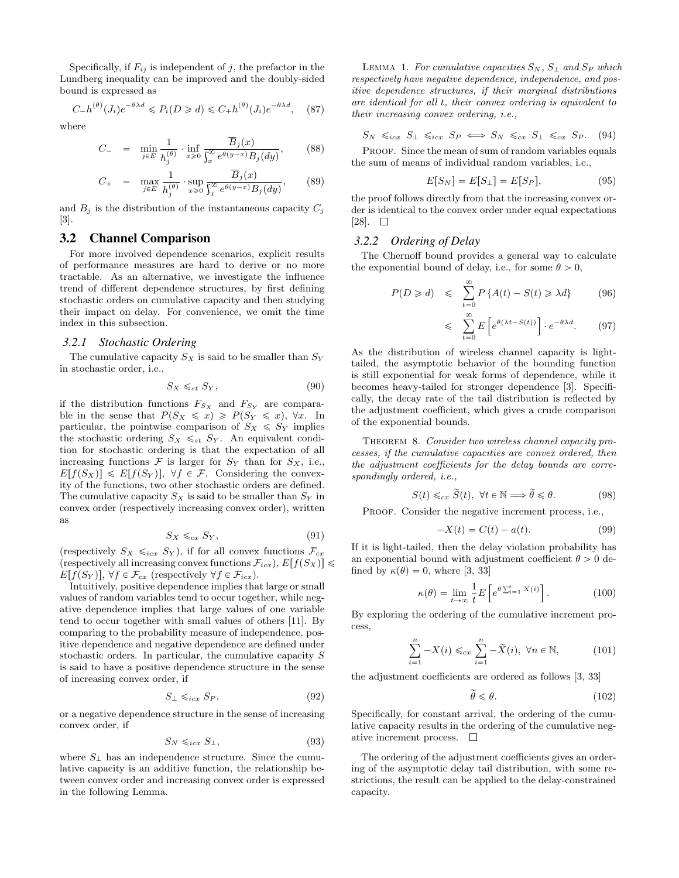Specifically, if  $F_{ij}$  is independent of j, the prefactor in the Lundberg inequality can be improved and the doubly-sided bound is expressed as

$$
C_{-}h^{(\theta)}(J_{i})e^{-\theta\lambda d} \le P_{i}(D \ge d) \le C_{+}h^{(\theta)}(J_{i})e^{-\theta\lambda d}, \quad (87)
$$

where

$$
C_{-} = \min_{j \in E} \frac{1}{h_j^{(\theta)}} \cdot \inf_{x \ge 0} \frac{\overline{B}_j(x)}{\int_x^{\infty} e^{\theta(y-x)} B_j(dy)},
$$
(88)

$$
C_{+} = \max_{j \in E} \frac{1}{h_j^{(\theta)}} \cdot \sup_{x \ge 0} \frac{\overline{B}_j(x)}{\int_x^{\infty} e^{\theta(y-x)} B_j(dy)},
$$
(89)

and  $B_i$  is the distribution of the instantaneous capacity  $C_i$ [3].

# 3.2 Channel Comparison

For more involved dependence scenarios, explicit results of performance measures are hard to derive or no more tractable. As an alternative, we investigate the influence trend of different dependence structures, by first defining stochastic orders on cumulative capacity and then studying their impact on delay. For convenience, we omit the time index in this subsection.

#### *3.2.1 Stochastic Ordering*

The cumulative capacity  $S_X$  is said to be smaller than  $S_Y$ in stochastic order, i.e.,

$$
S_X \leq_{st} S_Y,\tag{90}
$$

if the distribution functions  $F_{S_X}$  and  $F_{S_Y}$  are comparable in the sense that  $P(S_X \leq x) \geq P(S_Y \leq x)$ ,  $\forall x$ . In particular, the pointwise comparison of  $S_X \leq S_Y$  implies the stochastic ordering  $S_X \leq_{st} S_Y$ . An equivalent condition for stochastic ordering is that the expectation of all increasing functions  $\mathcal F$  is larger for  $S_Y$  than for  $S_X$ , i.e.,  $E[f(S_X)] \leq E[f(S_Y)], \forall f \in \mathcal{F}$ . Considering the convexity of the functions, two other stochastic orders are defined. The cumulative capacity  $S_X$  is said to be smaller than  $S_Y$  in convex order (respectively increasing convex order), written as

$$
S_X \leq_{cx} S_Y,\tag{91}
$$

(respectively  $S_X \leq_{icx} S_Y$ ), if for all convex functions  $\mathcal{F}_{cx}$ (respectively all increasing convex functions  $\mathcal{F}_{icx}$ ),  $E[f(S_X)] \leq$  $E[f(S_Y)], \forall f \in \mathcal{F}_{cx}$  (respectively  $\forall f \in \mathcal{F}_{icx}$ ).

Intuitively, positive dependence implies that large or small values of random variables tend to occur together, while negative dependence implies that large values of one variable tend to occur together with small values of others [11]. By comparing to the probability measure of independence, positive dependence and negative dependence are defined under stochastic orders. In particular, the cumulative capacity S is said to have a positive dependence structure in the sense of increasing convex order, if

$$
S_{\perp} \leqslant_{icx} S_P,\tag{92}
$$

or a negative dependence structure in the sense of increasing convex order, if

$$
S_N \leqslant_{icx} S_\perp,\tag{93}
$$

where  $S_{\perp}$  has an independence structure. Since the cumulative capacity is an additive function, the relationship between convex order and increasing convex order is expressed in the following Lemma.

LEMMA 1. For cumulative capacities  $S_N$ ,  $S_{\perp}$  and  $S_P$  which respectively have negative dependence, independence, and positive dependence structures, if their marginal distributions are identical for all t, their convex ordering is equivalent to their increasing convex ordering, i.e.,

$$
S_N \leq_{icx} S_\perp \leq_{icx} S_P \iff S_N \leq_{cx} S_\perp \leq_{cx} S_P. \tag{94}
$$

PROOF. Since the mean of sum of random variables equals the sum of means of individual random variables, i.e.,

$$
E[S_N] = E[S_\perp] = E[S_P],\tag{95}
$$

the proof follows directly from that the increasing convex order is identical to the convex order under equal expectations  $[28]$ .  $\Box$ 

#### *3.2.2 Ordering of Delay*

The Chernoff bound provides a general way to calculate the exponential bound of delay, i.e., for some  $\theta > 0$ ,

$$
P(D \ge d) \le \sum_{t=0}^{\infty} P\left\{A(t) - S(t) \ge \lambda d\right\} \tag{96}
$$

$$
\leq \sum_{t=0}^{\infty} E\left[e^{\theta(\lambda t - S(t))}\right] \cdot e^{-\theta \lambda d}.\tag{97}
$$

As the distribution of wireless channel capacity is lighttailed, the asymptotic behavior of the bounding function is still exponential for weak forms of dependence, while it becomes heavy-tailed for stronger dependence [3]. Specifically, the decay rate of the tail distribution is reflected by the adjustment coefficient, which gives a crude comparison of the exponential bounds.

THEOREM 8. Consider two wireless channel capacity processes, if the cumulative capacities are convex ordered, then the adjustment coefficients for the delay bounds are correspondingly ordered, i.e.,

$$
S(t) \leq_{cx} \widetilde{S}(t), \ \forall t \in \mathbb{N} \Longrightarrow \widetilde{\theta} \leq \theta. \tag{98}
$$

PROOF. Consider the negative increment process, i.e.,

$$
-X(t) = C(t) - a(t).
$$
 (99)

If it is light-tailed, then the delay violation probability has an exponential bound with adjustment coefficient  $\theta > 0$  defined by  $\kappa(\theta) = 0$ , where [3, 33]

$$
\kappa(\theta) = \lim_{t \to \infty} \frac{1}{t} E\left[e^{\theta \sum_{i=1}^{t} X(i)}\right].
$$
 (100)

By exploring the ordering of the cumulative increment process,

$$
\sum_{i=1}^{n} -X(i) \leq_{cx} \sum_{i=1}^{n} -\tilde{X}(i), \ \forall n \in \mathbb{N},
$$
 (101)

the adjustment coefficients are ordered as follows [3, 33]

$$
\widetilde{\theta} \leqslant \theta. \tag{102}
$$

Specifically, for constant arrival, the ordering of the cumulative capacity results in the ordering of the cumulative negative increment process.  $\Box$ 

The ordering of the adjustment coefficients gives an ordering of the asymptotic delay tail distribution, with some restrictions, the result can be applied to the delay-constrained capacity.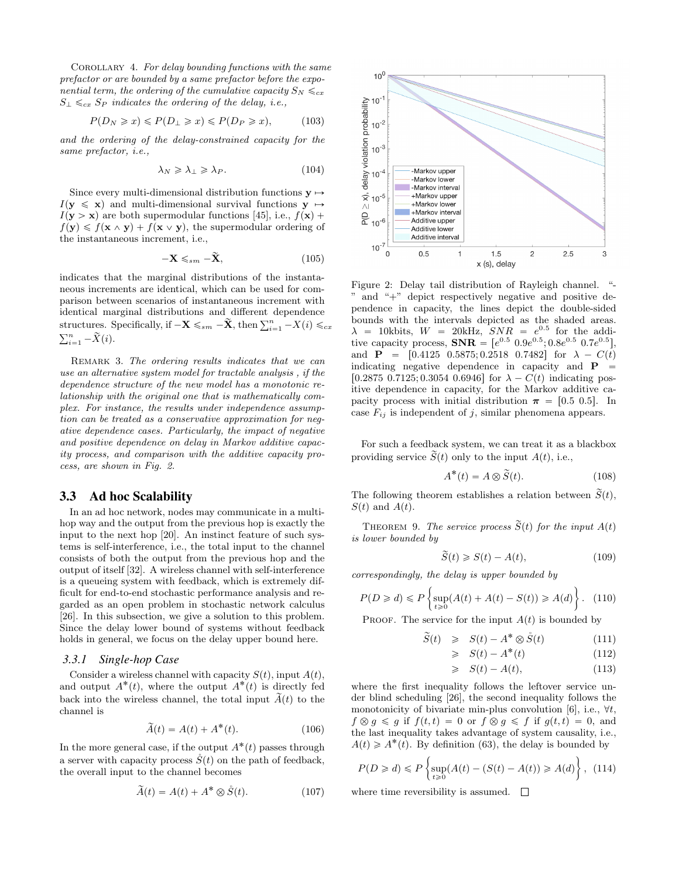COROLLARY 4. For delay bounding functions with the same prefactor or are bounded by a same prefactor before the exponential term, the ordering of the cumulative capacity  $S_N \leq_{cx} S_N$  $S_{\perp} \leq_{cx} S_{P}$  indicates the ordering of the delay, i.e.,

$$
P(D_N \geq x) \leq P(D_\perp \geq x) \leq P(D_P \geq x), \tag{103}
$$

and the ordering of the delay-constrained capacity for the same prefactor, i.e.,

$$
\lambda_N \geqslant \lambda_\perp \geqslant \lambda_P. \tag{104}
$$

Since every multi-dimensional distribution functions  $\mathbf{v} \mapsto$  $I(\mathbf{y} \leq \mathbf{x})$  and multi-dimensional survival functions  $\mathbf{y} \mapsto$  $I(\mathbf{y} > \mathbf{x})$  are both supermodular functions [45], i.e.,  $f(\mathbf{x})$  +  $f(\mathbf{y}) \leq f(\mathbf{x} \wedge \mathbf{y}) + f(\mathbf{x} \vee \mathbf{y})$ , the supermodular ordering of the instantaneous increment, i.e.,

$$
-\mathbf{X} \leq_{sm} -\widetilde{\mathbf{X}},\tag{105}
$$

indicates that the marginal distributions of the instantaneous increments are identical, which can be used for comparison between scenarios of instantaneous increment with identical marginal distributions and different dependence identical marginal distributions and different dependence<br>structures. Specifically, if  $-\mathbf{X} \leq_{sm} -\widetilde{\mathbf{X}}$ , then  $\sum_{i=1}^{n} -X(i) \leq_{cx}$ <br> $\sum_{i=1}^{n}$  $\sum_{i=1}^n -\widetilde{X}(i).$ 

REMARK 3. The ordering results indicates that we can use an alternative system model for tractable analysis , if the dependence structure of the new model has a monotonic relationship with the original one that is mathematically complex. For instance, the results under independence assumption can be treated as a conservative approximation for negative dependence cases. Particularly, the impact of negative and positive dependence on delay in Markov additive capacity process, and comparison with the additive capacity process, are shown in Fig. 2.

## 3.3 Ad hoc Scalability

In an ad hoc network, nodes may communicate in a multihop way and the output from the previous hop is exactly the input to the next hop [20]. An instinct feature of such systems is self-interference, i.e., the total input to the channel consists of both the output from the previous hop and the output of itself [32]. A wireless channel with self-interference is a queueing system with feedback, which is extremely difficult for end-to-end stochastic performance analysis and regarded as an open problem in stochastic network calculus [26]. In this subsection, we give a solution to this problem. Since the delay lower bound of systems without feedback holds in general, we focus on the delay upper bound here.

#### *3.3.1 Single-hop Case*

Consider a wireless channel with capacity  $S(t)$ , input  $A(t)$ , and output  $A^*(t)$ , where the output  $A^*(t)$  is directly fed back into the wireless channel, the total input  $\vec{A}(t)$  to the channel is

$$
\widetilde{A}(t) = A(t) + A^*(t). \tag{106}
$$

In the more general case, if the output  $A^*(t)$  passes through a server with capacity process  $\check{S}(t)$  on the path of feedback, the overall input to the channel becomes

$$
\widetilde{A}(t) = A(t) + A^* \otimes \mathring{S}(t). \tag{107}
$$



Figure 2: Delay tail distribution of Rayleigh channel. "- " and "+" depict respectively negative and positive dependence in capacity, the lines depict the double-sided bounds with the intervals depicted as the shaded areas.  $\lambda$  = 10kbits,  $W$  = 20kHz,  $SNR$  =  $e^{0.5}$  for the additive capacity process,  $\textbf{SNR} = [e^{0.5} \ 0.9e^{0.5}; 0.8e^{0.5} \ 0.7e^{0.5}],$ and  $P = [0.4125 \t0.5875; 0.2518 \t0.7482]$  for  $\lambda - C(t)$ indicating negative dependence in capacity and  $P$ [0.2875 0.7125; 0.3054 0.6946] for  $\lambda - C(t)$  indicating positive dependence in capacity, for the Markov additive capacity process with initial distribution  $\pi = [0.5 \ 0.5]$ . In case  $F_{ij}$  is independent of j, similar phenomena appears.

For such a feedback system, we can treat it as a blackbox providing service  $\widetilde{S}(t)$  only to the input  $A(t)$ , i.e.,

$$
A^*(t) = A \otimes \widetilde{S}(t). \tag{108}
$$

The following theorem establishes a relation between  $\tilde{S}(t)$ ,  $S(t)$  and  $A(t)$ .

THEOREM 9. The service process  $\widetilde{S}(t)$  for the input  $A(t)$ is lower bounded by

$$
\widetilde{S}(t) \ge S(t) - A(t),\tag{109}
$$

correspondingly, the delay is upper bounded by

$$
P(D \ge d) \le P\left\{\sup_{t \ge 0} (A(t) + A(t) - S(t)) \ge A(d)\right\}.
$$
 (110)

PROOF. The service for the input  $A(t)$  is bounded by

$$
\widetilde{S}(t) \geqslant S(t) - A^* \otimes \mathring{S}(t) \tag{111}
$$

$$
\geqslant S(t) - A^*(t) \tag{112}
$$

$$
\geqslant S(t) - A(t), \tag{113}
$$

where the first inequality follows the leftover service under blind scheduling [26], the second inequality follows the monotonicity of bivariate min-plus convolution [6], i.e.,  $\forall t$ ,  $f \otimes g \leq g$  if  $f(t, t) = 0$  or  $f \otimes g \leq f$  if  $g(t, t) = 0$ , and the last inequality takes advantage of system causality, i.e.,  $A(t) \ge A^*(t)$ . By definition (63), the delay is bounded by

$$
P(D \ge d) \le P\left\{\sup_{t \ge 0} (A(t) - (S(t) - A(t)) \ge A(d))\right\}, (114)
$$

where time reversibility is assumed.  $\Box$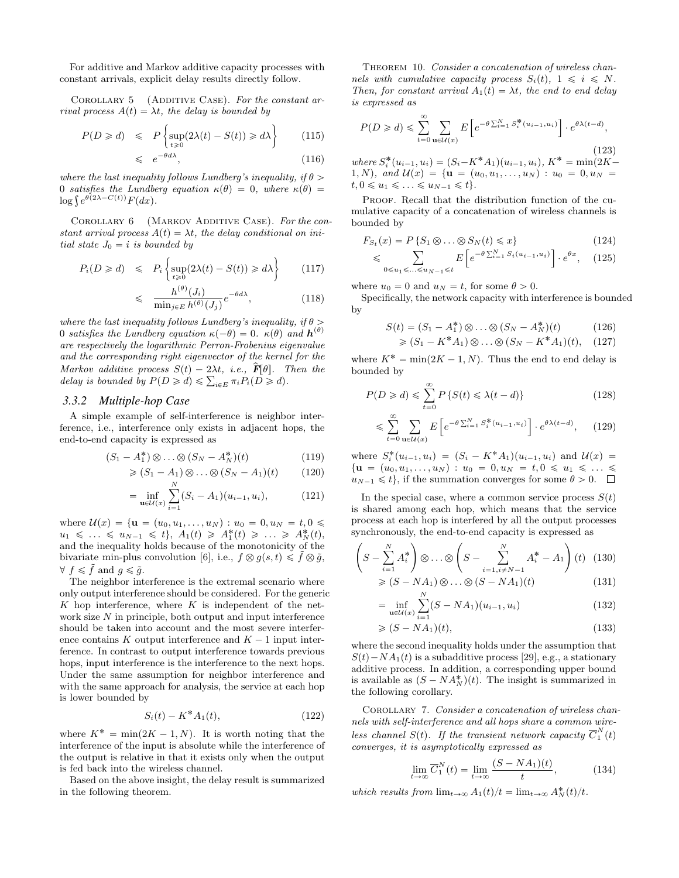For additive and Markov additive capacity processes with constant arrivals, explicit delay results directly follow.

COROLLARY 5 (ADDITIVE CASE). For the constant arrival process  $A(t) = \lambda t$ , the delay is bounded by "

$$
P(D \ge d) \le P\left\{\sup_{t \ge 0} (2\lambda(t) - S(t)) \ge d\lambda\right\} \tag{115}
$$

$$
\leqslant e^{-\theta d\lambda},\tag{116}
$$

where the last inequality follows Lundberg's inequality, if  $\theta$ 0 satisfies the Lundberg equation  $\kappa(\theta) = 0$ , where  $\kappa(\theta) = \log \int e^{\theta(2\lambda - C(t))} F(dx)$ .

COROLLARY 6 (MARKOV ADDITIVE CASE). For the constant arrival process  $A(t) = \lambda t$ , the delay conditional on initial state  $J_0 = i$  is bounded by

$$
P_i(D \ge d) \le P_i \left\{ \sup_{t \ge 0} (2\lambda(t) - S(t)) \ge d\lambda \right\} \qquad (117)
$$

$$
\leq \frac{h^{(\theta)}(J_i)}{\min_{j \in E} h^{(\theta)}(J_j)} e^{-\theta d\lambda}, \tag{118}
$$

where the last inequality follows Lundberg's inequality, if  $\theta$  > 0 satisfies the Lundberg equation  $\kappa(-\theta) = 0$ .  $\kappa(\theta)$  and  $\mathbf{h}^{(\theta)}$ are respectively the logarithmic Perron-Frobenius eigenvalue and the corresponding right eigenvector of the kernel for the Markov additive process  $S(t) - 2\lambda t$ , i.e.,  $\hat{F}[\theta]$ . Then the Markov additive process  $S(t) - 2\lambda t$ , i.e.,  $\mathbf{F}[0]$ . Then  $d$  is bounded by  $P(D \ge d) \le \sum_{i \in E} \pi_i P_i(D \ge d)$ .

#### *3.3.2 Multiple-hop Case*

A simple example of self-interference is neighbor interference, i.e., interference only exists in adjacent hops, the end-to-end capacity is expressed as

$$
(S_1 - A_1^*) \otimes \ldots \otimes (S_N - A_N^*)(t) \tag{119}
$$

$$
\geqslant (S_1 - A_1) \otimes \ldots \otimes (S_N - A_1)(t) \qquad (120)
$$

$$
= \inf_{\mathbf{u}\in\mathcal{U}(x)} \sum_{i=1}^{\infty} (S_i - A_1)(u_{i-1}, u_i), \tag{121}
$$

where  $\mathcal{U}(x) = \{ \mathbf{u} = (u_0, u_1, \dots, u_N) : u_0 = 0, u_N = t, 0 \leq$  $u_1 \leq \ldots \leq u_{N-1} \leq t$ ,  $A_1(t) \geq A_1^*(t) \geq \ldots \geq A_N^*(t)$ , and the inequality holds because of the monotonicity of the bivariate min-plus convolution [6], i.e.,  $f \otimes g(s, t) \leq \tilde{f} \otimes \tilde{g}$ ,  $\forall f \leq \tilde{f}$  and  $q \leq \tilde{q}$ .

The neighbor interference is the extremal scenario where only output interference should be considered. For the generic K hop interference, where  $K$  is independent of the network size N in principle, both output and input interference should be taken into account and the most severe interference contains K output interference and  $K - 1$  input interference. In contrast to output interference towards previous hops, input interference is the interference to the next hops. Under the same assumption for neighbor interference and with the same approach for analysis, the service at each hop is lower bounded by

$$
S_i(t) - K^* A_1(t), \t\t(122)
$$

where  $K^* = \min(2K - 1, N)$ . It is worth noting that the interference of the input is absolute while the interference of the output is relative in that it exists only when the output is fed back into the wireless channel.

Based on the above insight, the delay result is summarized in the following theorem.

THEOREM 10. Consider a concatenation of wireless channels with cumulative capacity process  $S_i(t)$ ,  $1 \leq i \leq N$ . Then, for constant arrival  $A_1(t) = \lambda t$ , the end to end delay is expressed as

$$
P(D \ge d) \le \sum_{t=0}^{\infty} \sum_{\mathbf{u} \in \mathcal{U}(x)} E\left[e^{-\theta \sum_{i=1}^{N} S_i^*(u_{i-1}, u_i)}\right] \cdot e^{\theta \lambda (t-d)},
$$
\n(123)

\nhere  $S^*(u_{i-1}, u_i) = (S_i - K^* A_1)(u_{i-1}, u_i) \quad K^* = \min(2K - K^* A_2) \quad \text{(124)}$ 

where  $S_i^*$  $(S_i - K^*A_1)(u_{i-1}, u_i), K^*$ 1, N), and  $\mathcal{U}(x) = \{ \mathbf{u} = (u_0, u_1, \dots, u_N) : u_0 = 0, u_N \}$  $t, 0 \leq u_1 \leq \ldots \leq u_{N-1} \leq t$ .

PROOF. Recall that the distribution function of the cumulative capacity of a concatenation of wireless channels is bounded by

$$
F_{S_t}(x) = P\left\{S_1 \otimes \ldots \otimes S_N(t) \leq x\right\} \tag{124}
$$

$$
\leqslant \sum_{0 \leqslant u_1 \leqslant \ldots \leqslant u_{N-1} \leqslant t} E\left[e^{-\theta \sum_{i=1}^{N} S_i(u_{i-1}, u_i)}\right] \cdot e^{\theta x}, \quad (125)
$$

where  $u_0 = 0$  and  $u_N = t$ , for some  $\theta > 0$ .

Specifically, the network capacity with interference is bounded by

$$
S(t) = (S_1 - A_1^*) \otimes \ldots \otimes (S_N - A_N^*) (t) \tag{126}
$$
  
\n
$$
\geq (S_1 - K^* A_1) \otimes \ldots \otimes (S_N - K^* A_1) (t), \quad (127)
$$

where  $K^* = \min(2K - 1, N)$ . Thus the end to end delay is bounded by

$$
P(D \ge d) \le \sum_{t=0}^{\infty} P\left\{S(t) \le \lambda(t - d)\right\} \tag{128}
$$

$$
\leqslant \sum_{t=0}^{\infty} \sum_{\mathbf{u} \in \mathcal{U}(x)} E\left[e^{-\theta \sum_{i=1}^{N} S_i^*(u_{i-1}, u_i)}\right] \cdot e^{\theta \lambda (t-d)},\tag{129}
$$

where  $S_i^*(u_{i-1}, u_i) = (S_i - K^*A_1)(u_{i-1}, u_i)$  and  $\mathcal{U}(x) =$  $\{u = (u_0, u_1, \ldots, u_N) : u_0 = 0, u_N = t, 0 \leq u_1 \leq \ldots \leq$  $u_{N-1} \leq t$ , if the summation converges for some  $\theta > 0$ .  $\Box$ 

In the special case, where a common service process  $S(t)$ is shared among each hop, which means that the service process at each hop is interfered by all the output processes synchronously, the end-to-end capacity is expressed as

$$
\left(S - \sum_{i=1}^{N} A_i^*\right) \otimes \ldots \otimes \left(S - \sum_{i=1, i \neq N-1}^{N} A_i^* - A_1\right)(t) \tag{130}
$$

$$
\geq (S - N A_1) \otimes \ldots \otimes (S - N A_1)(t) \tag{131}
$$

$$
\geq (S - NA_1) \otimes \ldots \otimes (S - NA_1)(t) \tag{131}
$$

$$
= \inf_{\mathbf{u}\in\mathcal{U}(x)} \sum_{i=1}^{n} (S - NA_1)(u_{i-1}, u_i)
$$
\n(132)

$$
\geqslant (S - NA_1)(t),\tag{133}
$$

where the second inequality holds under the assumption that  $S(t) - NA_1(t)$  is a subadditive process [29], e.g., a stationary additive process. In addition, a corresponding upper bound is available as  $(S - NA_N^*)(t)$ . The insight is summarized in the following corollary.

COROLLARY 7. Consider a concatenation of wireless channels with self-interference and all hops share a common wireless channel  $S(t)$ . If the transient network capacity  $\overline{C}_1^N(t)$ converges, it is asymptotically expressed as

$$
\lim_{t \to \infty} \overline{C}_1^N(t) = \lim_{t \to \infty} \frac{(S - NA_1)(t)}{t},\tag{134}
$$

which results from  $\lim_{t\to\infty} A_1(t)/t = \lim_{t\to\infty} A_N^*(t)/t$ .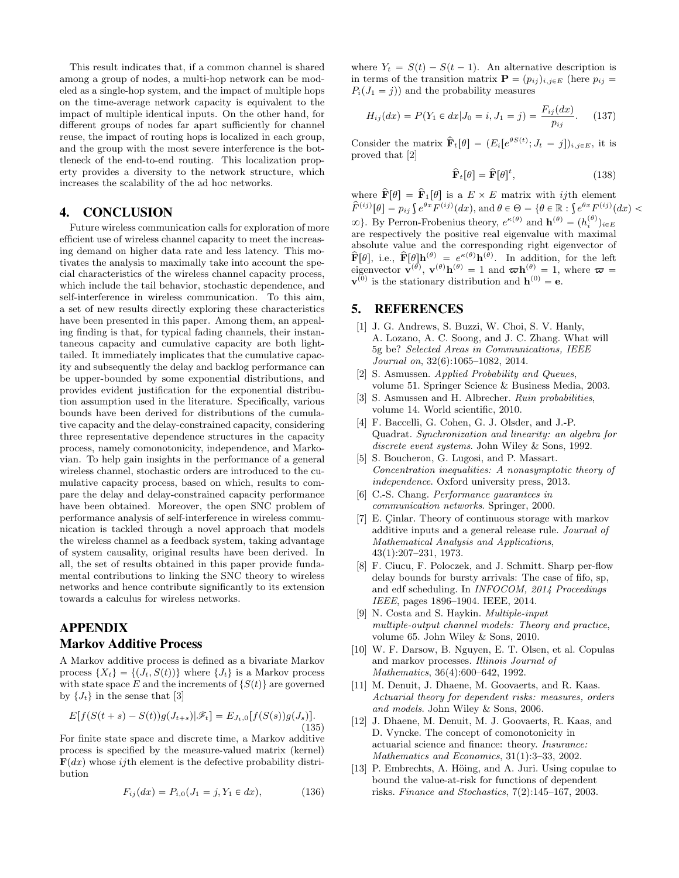This result indicates that, if a common channel is shared among a group of nodes, a multi-hop network can be modeled as a single-hop system, and the impact of multiple hops on the time-average network capacity is equivalent to the impact of multiple identical inputs. On the other hand, for different groups of nodes far apart sufficiently for channel reuse, the impact of routing hops is localized in each group, and the group with the most severe interference is the bottleneck of the end-to-end routing. This localization property provides a diversity to the network structure, which increases the scalability of the ad hoc networks.

# 4. CONCLUSION

Future wireless communication calls for exploration of more efficient use of wireless channel capacity to meet the increasing demand on higher data rate and less latency. This motivates the analysis to maximally take into account the special characteristics of the wireless channel capacity process, which include the tail behavior, stochastic dependence, and self-interference in wireless communication. To this aim, a set of new results directly exploring these characteristics have been presented in this paper. Among them, an appealing finding is that, for typical fading channels, their instantaneous capacity and cumulative capacity are both lighttailed. It immediately implicates that the cumulative capacity and subsequently the delay and backlog performance can be upper-bounded by some exponential distributions, and provides evident justification for the exponential distribution assumption used in the literature. Specifically, various bounds have been derived for distributions of the cumulative capacity and the delay-constrained capacity, considering three representative dependence structures in the capacity process, namely comonotonicity, independence, and Markovian. To help gain insights in the performance of a general wireless channel, stochastic orders are introduced to the cumulative capacity process, based on which, results to compare the delay and delay-constrained capacity performance have been obtained. Moreover, the open SNC problem of performance analysis of self-interference in wireless communication is tackled through a novel approach that models the wireless channel as a feedback system, taking advantage of system causality, original results have been derived. In all, the set of results obtained in this paper provide fundamental contributions to linking the SNC theory to wireless networks and hence contribute significantly to its extension towards a calculus for wireless networks.

# APPENDIX Markov Additive Process

A Markov additive process is defined as a bivariate Markov process  $\{X_t\} = \{(J_t, S(t))\}$  where  $\{J_t\}$  is a Markov process with state space E and the increments of  $\{S(t)\}\$ are governed by  $\{J_t\}$  in the sense that [3]

$$
E[f(S(t+s) - S(t))g(J_{t+s})|\mathscr{F}_t] = E_{J_t,0}[f(S(s))g(J_s)].
$$
\n(135)

For finite state space and discrete time, a Markov additive process is specified by the measure-valued matrix (kernel)  $\mathbf{F}(dx)$  whose *ij*th element is the defective probability distribution

$$
F_{ij}(dx) = P_{i,0}(J_1 = j, Y_1 \in dx), \tag{136}
$$

where  $Y_t = S(t) - S(t - 1)$ . An alternative description is in terms of the transition matrix  $\mathbf{P} = (p_{ij})_{i,j\in E}$  (here  $p_{ij}$  =  $P_i(J_1 = j)$  and the probability measures

$$
H_{ij}(dx) = P(Y_1 \in dx | J_0 = i, J_1 = j) = \frac{F_{ij}(dx)}{p_{ij}}.
$$
 (137)

Consider the matrix  $\hat{\mathbf{F}}_t[\theta] = (E_i[e^{\theta S(t)}; J_t = j])_{i,j \in E}$ , it is proved that [2]

$$
\hat{\mathbf{F}}_t[\theta] = \hat{\mathbf{F}}[\theta]^t,\tag{138}
$$

where  $\mathbf{\hat{F}}[\theta] = \mathbf{\hat{F}}_1[\theta]$  is a  $E \times E$  matrix with *ij*th element where  $\mathbf{F}[\theta] = \mathbf{F}_1[\theta]$  is a  $E \times E$  matrix with *i*jth element  $\hat{F}^{(ij)}[\theta] = p_{ij} \int e^{\theta x} F^{(ij)}(dx)$ , and  $\theta \in \Theta = \{ \theta \in \mathbb{R} : \int e^{\theta x} F^{(ij)}(dx)$  $\infty$ }. By Perron-Frobenius theory,  $e^{\kappa(\theta)}$  and  $\mathbf{h}^{(\theta)} = (h_i^{(\theta)})_{i \in E}$ are respectively the positive real eigenvalue with maximal absolute value and the corresponding right eigenvector of  $\mathbf{\hat{F}}[\theta], \text{ i.e., } \mathbf{\hat{F}}[\theta]\mathbf{h}^{(\theta)} = e^{\kappa(\theta)}\mathbf{h}^{(\theta)}.$  In addition, for the left eigenvector  $\mathbf{v}^{(\theta)}$ ,  $\mathbf{v}^{(\theta)}\mathbf{h}^{(\theta)} = 1$  and  $\boldsymbol{\varpi}\mathbf{h}^{(\theta)} = 1$ , where  $\boldsymbol{\varpi} =$  $\mathbf{v}^{(0)}$  is the stationary distribution and  $\mathbf{h}^{(0)} = \mathbf{e}$ .

# 5. REFERENCES

- [1] J. G. Andrews, S. Buzzi, W. Choi, S. V. Hanly, A. Lozano, A. C. Soong, and J. C. Zhang. What will 5g be? Selected Areas in Communications, IEEE Journal on, 32(6):1065–1082, 2014.
- [2] S. Asmussen. Applied Probability and Queues, volume 51. Springer Science & Business Media, 2003.
- [3] S. Asmussen and H. Albrecher. Ruin probabilities, volume 14. World scientific, 2010.
- [4] F. Baccelli, G. Cohen, G. J. Olsder, and J.-P. Quadrat. Synchronization and linearity: an algebra for discrete event systems. John Wiley & Sons, 1992.
- [5] S. Boucheron, G. Lugosi, and P. Massart. Concentration inequalities: A nonasymptotic theory of independence. Oxford university press, 2013.
- [6] C.-S. Chang. Performance guarantees in communication networks. Springer, 2000.
- [7] E. Cinlar. Theory of continuous storage with markov additive inputs and a general release rule. Journal of Mathematical Analysis and Applications, 43(1):207–231, 1973.
- [8] F. Ciucu, F. Poloczek, and J. Schmitt. Sharp per-flow delay bounds for bursty arrivals: The case of fifo, sp, and edf scheduling. In INFOCOM, 2014 Proceedings IEEE, pages 1896–1904. IEEE, 2014.
- [9] N. Costa and S. Haykin. Multiple-input multiple-output channel models: Theory and practice, volume 65. John Wiley & Sons, 2010.
- [10] W. F. Darsow, B. Nguyen, E. T. Olsen, et al. Copulas and markov processes. Illinois Journal of Mathematics, 36(4):600–642, 1992.
- [11] M. Denuit, J. Dhaene, M. Goovaerts, and R. Kaas. Actuarial theory for dependent risks: measures, orders and models. John Wiley & Sons, 2006.
- [12] J. Dhaene, M. Denuit, M. J. Goovaerts, R. Kaas, and D. Vyncke. The concept of comonotonicity in actuarial science and finance: theory. Insurance: Mathematics and Economics, 31(1):3–33, 2002.
- [13] P. Embrechts, A. Höing, and A. Juri. Using copulae to bound the value-at-risk for functions of dependent risks. Finance and Stochastics, 7(2):145–167, 2003.